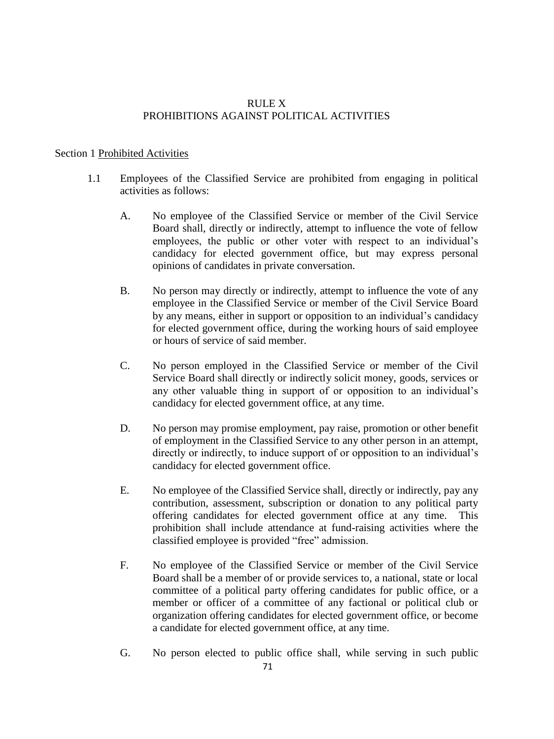## RULE X PROHIBITIONS AGAINST POLITICAL ACTIVITIES

## Section 1 Prohibited Activities

- 1.1 Employees of the Classified Service are prohibited from engaging in political activities as follows:
	- A. No employee of the Classified Service or member of the Civil Service Board shall, directly or indirectly, attempt to influence the vote of fellow employees, the public or other voter with respect to an individual's candidacy for elected government office, but may express personal opinions of candidates in private conversation.
	- B. No person may directly or indirectly, attempt to influence the vote of any employee in the Classified Service or member of the Civil Service Board by any means, either in support or opposition to an individual's candidacy for elected government office, during the working hours of said employee or hours of service of said member.
	- C. No person employed in the Classified Service or member of the Civil Service Board shall directly or indirectly solicit money, goods, services or any other valuable thing in support of or opposition to an individual's candidacy for elected government office, at any time.
	- D. No person may promise employment, pay raise, promotion or other benefit of employment in the Classified Service to any other person in an attempt, directly or indirectly, to induce support of or opposition to an individual's candidacy for elected government office.
	- E. No employee of the Classified Service shall, directly or indirectly, pay any contribution, assessment, subscription or donation to any political party offering candidates for elected government office at any time. This prohibition shall include attendance at fund-raising activities where the classified employee is provided "free" admission.
	- F. No employee of the Classified Service or member of the Civil Service Board shall be a member of or provide services to, a national, state or local committee of a political party offering candidates for public office, or a member or officer of a committee of any factional or political club or organization offering candidates for elected government office, or become a candidate for elected government office, at any time.
	- G. No person elected to public office shall, while serving in such public